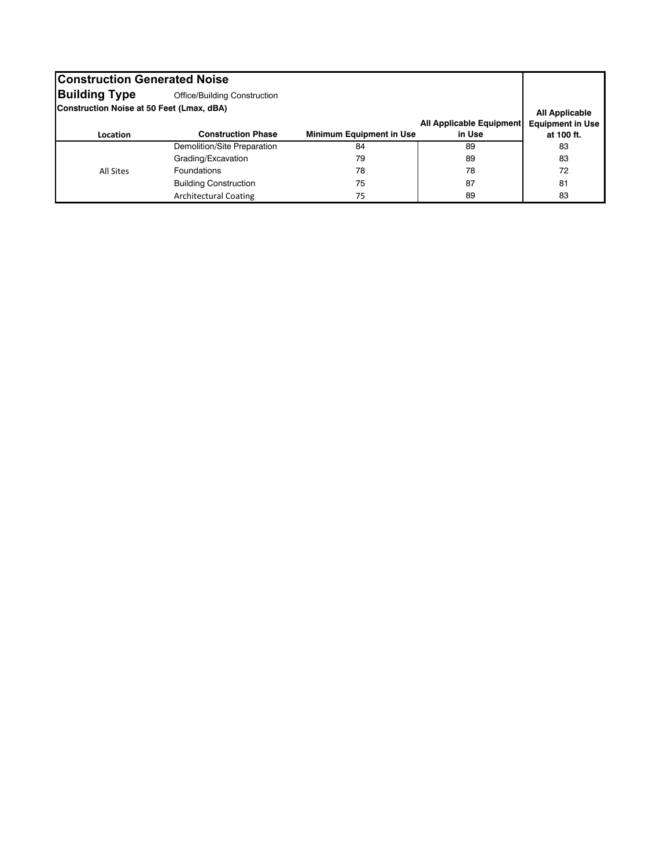| <b>Construction Generated Noise</b>              |                              |                                 |                                 |                         |  |  |  |  |
|--------------------------------------------------|------------------------------|---------------------------------|---------------------------------|-------------------------|--|--|--|--|
| <b>Building Type</b>                             | Office/Building Construction |                                 |                                 |                         |  |  |  |  |
| <b>Construction Noise at 50 Feet (Lmax, dBA)</b> |                              |                                 |                                 | <b>All Applicable</b>   |  |  |  |  |
|                                                  |                              |                                 | <b>All Applicable Equipment</b> | <b>Equipment in Use</b> |  |  |  |  |
| Location                                         | <b>Construction Phase</b>    | <b>Minimum Equipment in Use</b> | in Use                          | at 100 ft.              |  |  |  |  |
|                                                  | Demolition/Site Preparation  | 84                              | 89                              | 83                      |  |  |  |  |
|                                                  | Grading/Excavation           | 79                              | 89                              | 83                      |  |  |  |  |
| All Sites                                        | <b>Foundations</b>           | 78                              | 78                              | 72                      |  |  |  |  |
|                                                  | <b>Building Construction</b> | 75                              | 87                              | 81                      |  |  |  |  |
|                                                  | <b>Architectural Coating</b> | 75                              | 89                              | 83                      |  |  |  |  |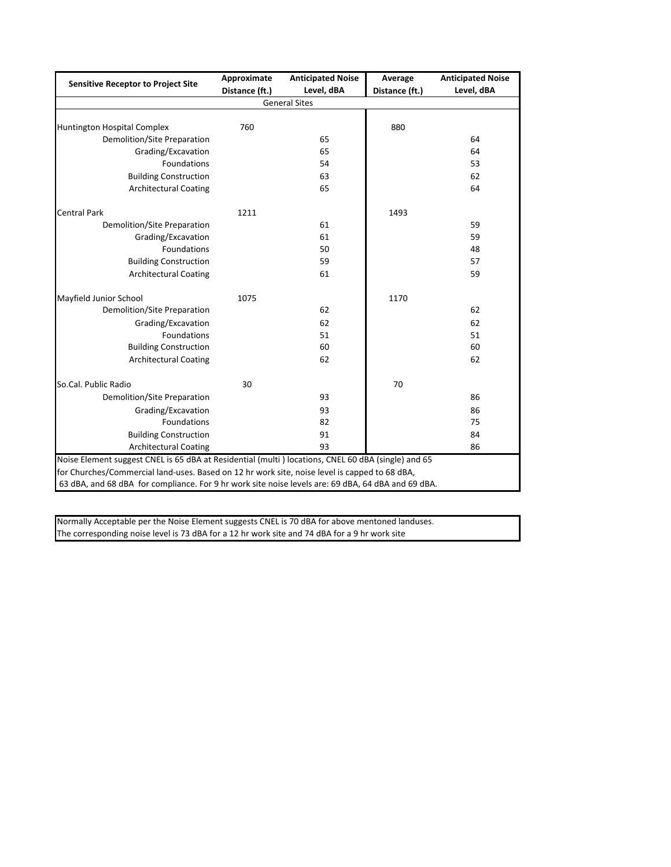| <b>Sensitive Receptor to Project Site</b>                                                          | Approximate    | <b>Anticipated Noise</b> | Average        | <b>Anticipated Noise</b> |  |  |  |  |  |  |
|----------------------------------------------------------------------------------------------------|----------------|--------------------------|----------------|--------------------------|--|--|--|--|--|--|
|                                                                                                    | Distance (ft.) | Level, dBA               | Distance (ft.) | Level, dBA               |  |  |  |  |  |  |
| <b>General Sites</b>                                                                               |                |                          |                |                          |  |  |  |  |  |  |
|                                                                                                    |                |                          |                |                          |  |  |  |  |  |  |
| Huntington Hospital Complex                                                                        | 760            |                          | 880            |                          |  |  |  |  |  |  |
| Demolition/Site Preparation                                                                        |                | 65                       |                | 64                       |  |  |  |  |  |  |
| Grading/Excavation                                                                                 |                | 65                       |                | 64                       |  |  |  |  |  |  |
| <b>Foundations</b>                                                                                 |                | 54                       |                | 53                       |  |  |  |  |  |  |
| <b>Building Construction</b>                                                                       |                | 63                       |                | 62                       |  |  |  |  |  |  |
| <b>Architectural Coating</b>                                                                       |                | 65                       |                | 64                       |  |  |  |  |  |  |
| <b>Central Park</b>                                                                                | 1211           |                          | 1493           |                          |  |  |  |  |  |  |
| Demolition/Site Preparation                                                                        |                | 61                       |                | 59                       |  |  |  |  |  |  |
| Grading/Excavation                                                                                 |                | 61                       |                | 59                       |  |  |  |  |  |  |
| <b>Foundations</b>                                                                                 |                | 50                       |                | 48                       |  |  |  |  |  |  |
| <b>Building Construction</b>                                                                       |                | 59                       |                | 57                       |  |  |  |  |  |  |
| <b>Architectural Coating</b>                                                                       |                | 61                       |                | 59                       |  |  |  |  |  |  |
| Mayfield Junior School                                                                             | 1075           |                          | 1170           |                          |  |  |  |  |  |  |
| Demolition/Site Preparation                                                                        |                | 62                       |                | 62                       |  |  |  |  |  |  |
| Grading/Excavation                                                                                 |                | 62                       |                | 62                       |  |  |  |  |  |  |
| Foundations                                                                                        |                | 51                       |                | 51                       |  |  |  |  |  |  |
| <b>Building Construction</b>                                                                       |                | 60                       |                | 60                       |  |  |  |  |  |  |
| <b>Architectural Coating</b>                                                                       |                | 62                       |                | 62                       |  |  |  |  |  |  |
| So.Cal. Public Radio                                                                               | 30             |                          | 70             |                          |  |  |  |  |  |  |
| Demolition/Site Preparation                                                                        |                | 93                       |                | 86                       |  |  |  |  |  |  |
| Grading/Excavation                                                                                 |                | 93                       |                | 86                       |  |  |  |  |  |  |
| Foundations                                                                                        |                | 82                       |                | 75                       |  |  |  |  |  |  |
| <b>Building Construction</b>                                                                       |                | 91                       |                | 84                       |  |  |  |  |  |  |
| <b>Architectural Coating</b>                                                                       |                | 93                       |                | 86                       |  |  |  |  |  |  |
| Noise Element suggest CNEL is 65 dBA at Residential (multi) locations, CNEL 60 dBA (single) and 65 |                |                          |                |                          |  |  |  |  |  |  |
| for Churches/Commercial land-uses. Based on 12 hr work site, noise level is capped to 68 dBA,      |                |                          |                |                          |  |  |  |  |  |  |
| 63 dBA, and 68 dBA for compliance. For 9 hr work site noise levels are: 69 dBA, 64 dBA and 69 dBA. |                |                          |                |                          |  |  |  |  |  |  |

Normally Acceptable per the Noise Element suggests CNEL is 70 dBA for above mentoned landuses. The corresponding noise level is 73 dBA for a 12 hr work site and 74 dBA for a 9 hr work site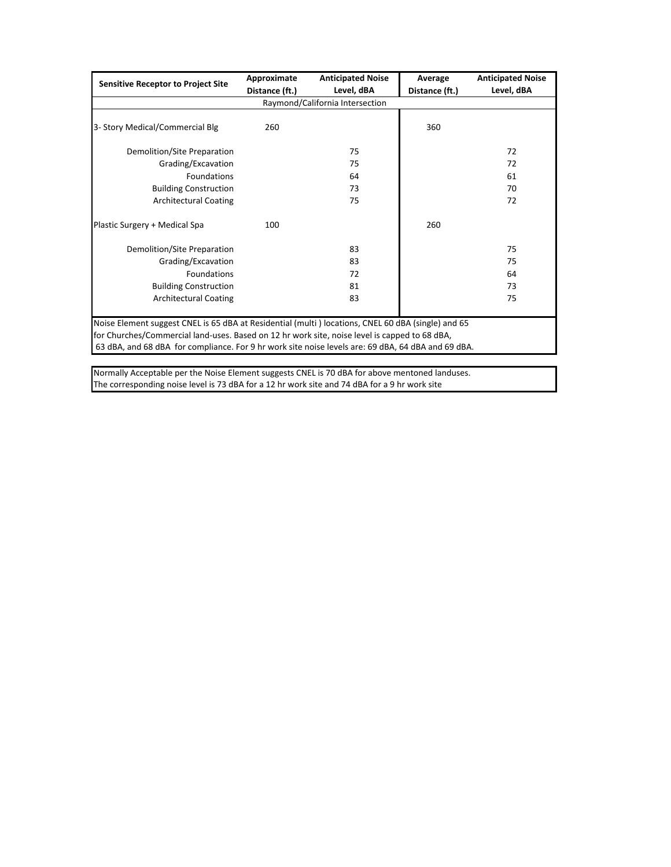|                                                                                                                                                                                                     | Approximate    | <b>Anticipated Noise</b> | Average        | <b>Anticipated Noise</b> |  |  |  |  |  |
|-----------------------------------------------------------------------------------------------------------------------------------------------------------------------------------------------------|----------------|--------------------------|----------------|--------------------------|--|--|--|--|--|
| <b>Sensitive Receptor to Project Site</b>                                                                                                                                                           | Distance (ft.) | Level, dBA               | Distance (ft.) | Level, dBA               |  |  |  |  |  |
| Raymond/California Intersection                                                                                                                                                                     |                |                          |                |                          |  |  |  |  |  |
|                                                                                                                                                                                                     |                |                          |                |                          |  |  |  |  |  |
| 3- Story Medical/Commercial Blg                                                                                                                                                                     | 260            |                          | 360            |                          |  |  |  |  |  |
| Demolition/Site Preparation                                                                                                                                                                         |                | 75                       |                | 72                       |  |  |  |  |  |
| Grading/Excavation                                                                                                                                                                                  |                | 75                       |                | 72                       |  |  |  |  |  |
| Foundations                                                                                                                                                                                         |                | 64                       |                | 61                       |  |  |  |  |  |
| <b>Building Construction</b>                                                                                                                                                                        |                | 73                       |                | 70                       |  |  |  |  |  |
| <b>Architectural Coating</b>                                                                                                                                                                        |                | 75                       |                | 72                       |  |  |  |  |  |
| Plastic Surgery + Medical Spa                                                                                                                                                                       | 100            |                          | 260            |                          |  |  |  |  |  |
| Demolition/Site Preparation                                                                                                                                                                         |                | 83                       |                | 75                       |  |  |  |  |  |
| Grading/Excavation                                                                                                                                                                                  |                | 83                       |                | 75                       |  |  |  |  |  |
| Foundations                                                                                                                                                                                         |                | 72                       |                | 64                       |  |  |  |  |  |
| <b>Building Construction</b>                                                                                                                                                                        |                | 81                       |                | 73                       |  |  |  |  |  |
| <b>Architectural Coating</b>                                                                                                                                                                        |                | 83                       |                | 75                       |  |  |  |  |  |
| Noise Element suggest CNEL is 65 dBA at Residential (multi) locations, CNEL 60 dBA (single) and 65<br>for Churches/Commercial land-uses. Based on 12 hr work site, noise level is capped to 68 dBA, |                |                          |                |                          |  |  |  |  |  |
| 63 dBA, and 68 dBA for compliance. For 9 hr work site noise levels are: 69 dBA, 64 dBA and 69 dBA.                                                                                                  |                |                          |                |                          |  |  |  |  |  |

Normally Acceptable per the Noise Element suggests CNEL is 70 dBA for above mentoned landuses. The corresponding noise level is 73 dBA for a 12 hr work site and 74 dBA for a 9 hr work site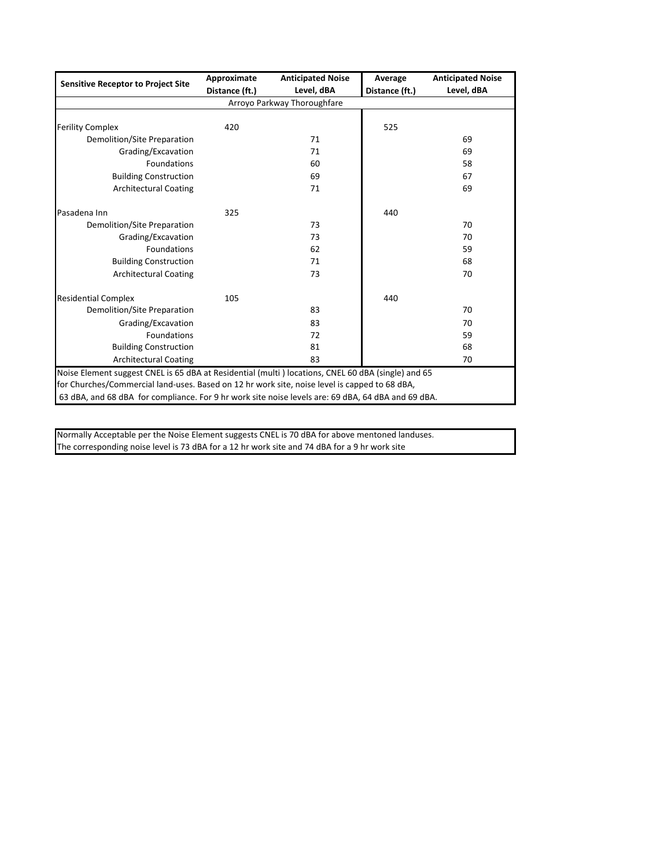| <b>Sensitive Receptor to Project Site</b>                                                          | Approximate    | <b>Anticipated Noise</b> | Average        | <b>Anticipated Noise</b> |  |  |  |  |  |  |
|----------------------------------------------------------------------------------------------------|----------------|--------------------------|----------------|--------------------------|--|--|--|--|--|--|
|                                                                                                    | Distance (ft.) | Level, dBA               | Distance (ft.) | Level, dBA               |  |  |  |  |  |  |
| Arroyo Parkway Thoroughfare                                                                        |                |                          |                |                          |  |  |  |  |  |  |
|                                                                                                    |                |                          |                |                          |  |  |  |  |  |  |
| <b>Ferility Complex</b>                                                                            | 420            |                          | 525            |                          |  |  |  |  |  |  |
| Demolition/Site Preparation                                                                        |                | 71                       |                | 69                       |  |  |  |  |  |  |
| Grading/Excavation                                                                                 |                | 71                       |                | 69                       |  |  |  |  |  |  |
| <b>Foundations</b>                                                                                 |                | 60                       |                | 58                       |  |  |  |  |  |  |
| <b>Building Construction</b>                                                                       |                | 69                       |                | 67                       |  |  |  |  |  |  |
| <b>Architectural Coating</b>                                                                       |                | 71                       |                | 69                       |  |  |  |  |  |  |
| Pasadena Inn                                                                                       | 325            |                          | 440            |                          |  |  |  |  |  |  |
| Demolition/Site Preparation                                                                        |                | 73                       |                | 70                       |  |  |  |  |  |  |
| Grading/Excavation                                                                                 |                | 73                       |                | 70                       |  |  |  |  |  |  |
| <b>Foundations</b>                                                                                 |                | 62                       |                | 59                       |  |  |  |  |  |  |
| <b>Building Construction</b>                                                                       |                | 71                       |                | 68                       |  |  |  |  |  |  |
| <b>Architectural Coating</b>                                                                       |                | 73                       |                | 70                       |  |  |  |  |  |  |
| <b>Residential Complex</b>                                                                         | 105            |                          | 440            |                          |  |  |  |  |  |  |
| Demolition/Site Preparation                                                                        |                | 83                       |                | 70                       |  |  |  |  |  |  |
| Grading/Excavation                                                                                 |                | 83                       |                | 70                       |  |  |  |  |  |  |
| <b>Foundations</b>                                                                                 |                | 72                       |                | 59                       |  |  |  |  |  |  |
| <b>Building Construction</b>                                                                       |                | 81                       |                | 68                       |  |  |  |  |  |  |
| <b>Architectural Coating</b>                                                                       |                | 83                       |                | 70                       |  |  |  |  |  |  |
| Noise Element suggest CNEL is 65 dBA at Residential (multi) locations, CNEL 60 dBA (single) and 65 |                |                          |                |                          |  |  |  |  |  |  |
| for Churches/Commercial land-uses. Based on 12 hr work site, noise level is capped to 68 dBA,      |                |                          |                |                          |  |  |  |  |  |  |
| 63 dBA, and 68 dBA for compliance. For 9 hr work site noise levels are: 69 dBA, 64 dBA and 69 dBA. |                |                          |                |                          |  |  |  |  |  |  |

Normally Acceptable per the Noise Element suggests CNEL is 70 dBA for above mentoned landuses. The corresponding noise level is 73 dBA for a 12 hr work site and 74 dBA for a 9 hr work site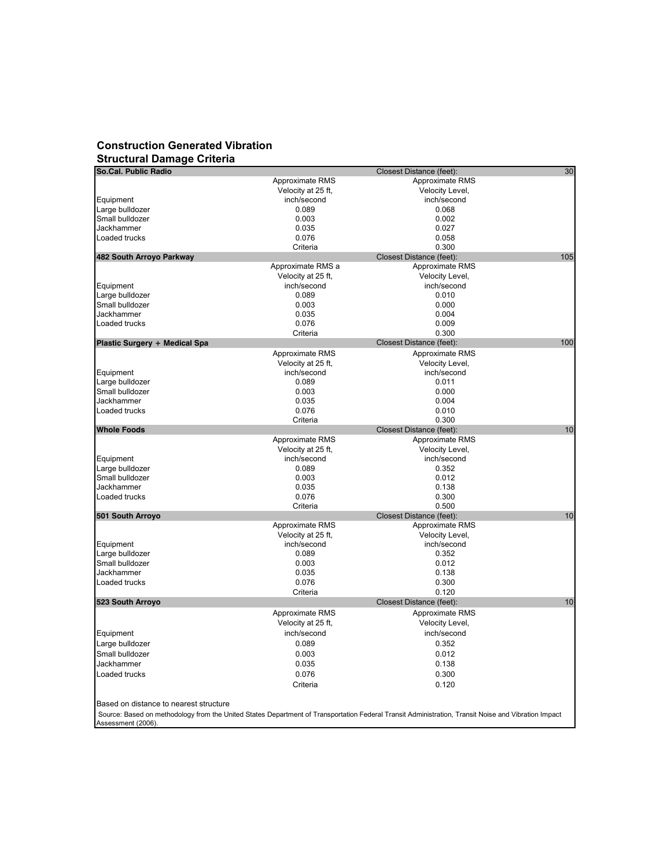## **Construction Generated Vibration Structural Damage Criteria**

| So.Cal. Public Radio                   | 30<br>Closest Distance (feet): |                          |     |  |  |  |
|----------------------------------------|--------------------------------|--------------------------|-----|--|--|--|
|                                        | Approximate RMS                | Approximate RMS          |     |  |  |  |
|                                        | Velocity at 25 ft,             | Velocity Level,          |     |  |  |  |
| Equipment                              | inch/second                    | inch/second              |     |  |  |  |
| Large bulldozer                        | 0.089                          | 0.068                    |     |  |  |  |
| Small bulldozer                        | 0.003                          | 0.002                    |     |  |  |  |
| Jackhammer                             | 0.035                          | 0.027                    |     |  |  |  |
| Loaded trucks                          | 0.076                          | 0.058                    |     |  |  |  |
|                                        | Criteria                       | 0.300                    |     |  |  |  |
| 482 South Arroyo Parkway               |                                | Closest Distance (feet): | 105 |  |  |  |
|                                        | Approximate RMS a              | Approximate RMS          |     |  |  |  |
|                                        | Velocity at 25 ft,             | Velocity Level,          |     |  |  |  |
| Equipment                              | inch/second                    | inch/second              |     |  |  |  |
| Large bulldozer                        | 0.089                          | 0.010                    |     |  |  |  |
| Small bulldozer                        | 0.003                          | 0.000                    |     |  |  |  |
| Jackhammer                             | 0.035                          | 0.004                    |     |  |  |  |
| Loaded trucks                          | 0.076                          | 0.009                    |     |  |  |  |
|                                        | Criteria                       | 0.300                    |     |  |  |  |
| Plastic Surgery + Medical Spa          |                                | Closest Distance (feet): | 100 |  |  |  |
|                                        |                                |                          |     |  |  |  |
|                                        | Approximate RMS                | Approximate RMS          |     |  |  |  |
|                                        | Velocity at 25 ft,             | Velocity Level,          |     |  |  |  |
| Equipment                              | inch/second                    | inch/second              |     |  |  |  |
| Large bulldozer                        | 0.089                          | 0.011                    |     |  |  |  |
| Small bulldozer                        | 0.003                          | 0.000                    |     |  |  |  |
| Jackhammer                             | 0.035                          | 0.004                    |     |  |  |  |
| Loaded trucks                          | 0.076                          | 0.010                    |     |  |  |  |
|                                        | Criteria                       | 0.300                    |     |  |  |  |
| <b>Whole Foods</b>                     |                                | Closest Distance (feet): | 10  |  |  |  |
|                                        | Approximate RMS                | Approximate RMS          |     |  |  |  |
|                                        | Velocity at 25 ft,             | Velocity Level,          |     |  |  |  |
| Equipment                              | inch/second                    | inch/second              |     |  |  |  |
| Large bulldozer                        | 0.089                          | 0.352                    |     |  |  |  |
| Small bulldozer                        | 0.003                          | 0.012                    |     |  |  |  |
| Jackhammer                             | 0.035                          | 0.138                    |     |  |  |  |
| Loaded trucks                          | 0.076                          | 0.300                    |     |  |  |  |
|                                        | Criteria                       | 0.500                    |     |  |  |  |
| 501 South Arroyo                       |                                | Closest Distance (feet): | 10  |  |  |  |
|                                        | Approximate RMS                | Approximate RMS          |     |  |  |  |
|                                        | Velocity at 25 ft,             | Velocity Level,          |     |  |  |  |
| Equipment                              | inch/second                    | inch/second              |     |  |  |  |
| Large bulldozer                        | 0.089                          | 0.352                    |     |  |  |  |
| Small bulldozer                        | 0.003                          | 0.012                    |     |  |  |  |
| Jackhammer                             | 0.035                          | 0.138                    |     |  |  |  |
| Loaded trucks                          | 0.076                          | 0.300                    |     |  |  |  |
|                                        | Criteria                       | 0.120                    |     |  |  |  |
| 523 South Arroyo                       |                                | Closest Distance (feet): | 10  |  |  |  |
|                                        | Approximate RMS                | Approximate RMS          |     |  |  |  |
|                                        | Velocity at 25 ft,             | Velocity Level,          |     |  |  |  |
| Equipment                              | inch/second                    | inch/second              |     |  |  |  |
|                                        | 0.089                          | 0.352                    |     |  |  |  |
| Large bulldozer                        |                                |                          |     |  |  |  |
| Small bulldozer                        | 0.003                          | 0.012                    |     |  |  |  |
| Jackhammer                             | 0.035                          | 0.138                    |     |  |  |  |
| Loaded trucks                          | 0.076                          | 0.300                    |     |  |  |  |
|                                        | Criteria                       | 0.120                    |     |  |  |  |
|                                        |                                |                          |     |  |  |  |
| Based on distance to nearest structure |                                |                          |     |  |  |  |

 Source: Based on methodology from the United States Department of Transportation Federal Transit Administration, Transit Noise and Vibration Impact Assessment (2006).